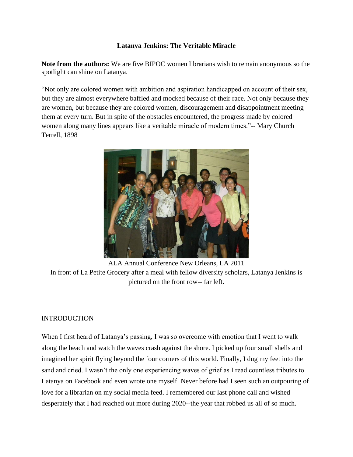# **Latanya Jenkins: The Veritable Miracle**

**Note from the authors:** We are five BIPOC women librarians wish to remain anonymous so the spotlight can shine on Latanya.

"Not only are colored women with ambition and aspiration handicapped on account of their sex, but they are almost everywhere baffled and mocked because of their race. Not only because they are women, but because they are colored women, discouragement and disappointment meeting them at every turn. But in spite of the obstacles encountered, the progress made by colored women along many lines appears like a veritable miracle of modern times."-- Mary Church Terrell, 1898



ALA Annual Conference New Orleans, LA 2011 In front of La Petite Grocery after a meal with fellow diversity scholars, Latanya Jenkins is pictured on the front row-- far left.

# INTRODUCTION

When I first heard of Latanya's passing, I was so overcome with emotion that I went to walk along the beach and watch the waves crash against the shore. I picked up four small shells and imagined her spirit flying beyond the four corners of this world. Finally, I dug my feet into the sand and cried. I wasn't the only one experiencing waves of grief as I read countless tributes to Latanya on Facebook and even wrote one myself. Never before had I seen such an outpouring of love for a librarian on my social media feed. I remembered our last phone call and wished desperately that I had reached out more during 2020--the year that robbed us all of so much.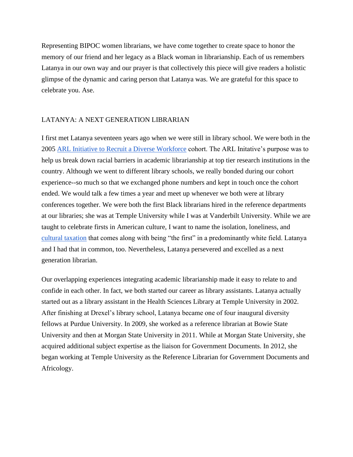Representing BIPOC women librarians, we have come together to create space to honor the memory of our friend and her legacy as a Black woman in librarianship. Each of us remembers Latanya in our own way and our prayer is that collectively this piece will give readers a holistic glimpse of the dynamic and caring person that Latanya was. We are grateful for this space to celebrate you. Ase.

### LATANYA: A NEXT GENERATION LIBRARIAN

I first met Latanya seventeen years ago when we were still in library school. We were both in the 2005 [ARL Initiative to Recruit a Diverse Workforce](https://crln.acrl.org/index.php/crlnews/article/view/9520/10828) cohort. The ARL Initative's purpose was to help us break down racial barriers in academic librarianship at top tier research institutions in the country. Although we went to different library schools, we really bonded during our cohort experience--so much so that we exchanged phone numbers and kept in touch once the cohort ended. We would talk a few times a year and meet up whenever we both were at library conferences together. We were both the first Black librarians hired in the reference departments at our libraries; she was at Temple University while I was at Vanderbilt University. While we are taught to celebrate firsts in American culture, I want to name the isolation, loneliness, and [cultural taxation](https://www.hercjobs.org/managing-cultural-taxation-and-combating-burnout-tips-for-underrepresented-faculty-and-staff/) that comes along with being "the first" in a predominantly white field. Latanya and I had that in common, too. Nevertheless, Latanya persevered and excelled as a next generation librarian.

Our overlapping experiences integrating academic librarianship made it easy to relate to and confide in each other. In fact, we both started our career as library assistants. Latanya actually started out as a library assistant in the Health Sciences Library at Temple University in 2002. After finishing at Drexel's library school, Latanya became one of four inaugural diversity fellows at Purdue University. In 2009, she worked as a reference librarian at Bowie State University and then at Morgan State University in 2011. While at Morgan State University, she acquired additional subject expertise as the liaison for Government Documents. In 2012, she began working at Temple University as the Reference Librarian for Government Documents and Africology.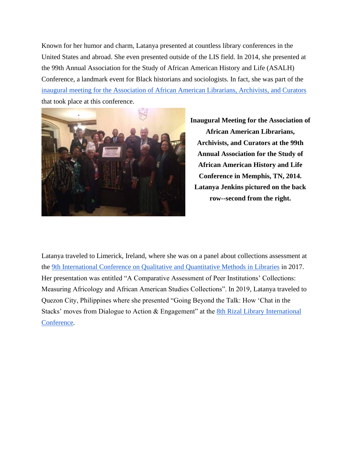Known for her humor and charm, Latanya presented at countless library conferences in the United States and abroad. She even presented outside of the LIS field. In 2014, she presented at the 99th Annual Association for the Study of African American History and Life (ASALH) Conference, a landmark event for Black historians and sociologists. In fact, she was part of the [inaugural meeting for the Association of African American Librarians, Archivists, and Curators](https://alair.ala.org/bitstream/handle/11213/10040/2014_afas_fall_newsfinal.pdf?sequence=1&isAllowed=y) that took place at this conference.



**Inaugural Meeting for the Association of African American Librarians, Archivists, and Curators at the 99th Annual Association for the Study of African American History and Life Conference in Memphis, TN, 2014. Latanya Jenkins pictured on the back row--second from the right.**

Latanya traveled to Limerick, Ireland, where she was on a panel about collections assessment at the [9th International Conference on Qualitative and Quantitative Methods in Libraries](http://www.isast.org/qqml2017/sessionsprogram2017.html) in 2017. Her presentation was entitled "A Comparative Assessment of Peer Institutions' Collections: Measuring Africology and African American Studies Collections". In 2019, Latanya traveled to Quezon City, Philippines where she presented "Going Beyond the Talk: How 'Chat in the Stacks' moves from Dialogue to Action & Engagement" at the [8th Rizal Library International](http://rizal2.lib.admu.edu.ph/8rlic/docs/8RLICProgramme.pdf)  [Conference](http://rizal2.lib.admu.edu.ph/8rlic/docs/8RLICProgramme.pdf)*.*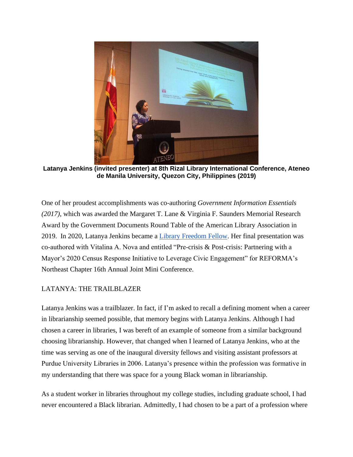

**Latanya Jenkins (invited presenter) at 8th Rizal Library International Conference, Ateneo de Manila University, Quezon City, Philippines (2019)**

One of her proudest accomplishments was co-authoring *Government Information Essentials (2017)*, which was awarded the Margaret T. Lane & Virginia F. Saunders Memorial Research Award by the Government Documents Round Table of the American Library Association in 2019. In 2020, Latanya Jenkins became a [Library Freedom Fellow.](https://libraryfreedom.org/team/latanya-n-jenkins/) Her final presentation was co-authored with Vitalina A. Nova and entitled "Pre-crisis & Post-crisis: Partnering with a Mayor's 2020 Census Response Initiative to Leverage Civic Engagement" for REFORMA's Northeast Chapter 16th Annual Joint Mini Conference.

# LATANYA: THE TRAILBLAZER

Latanya Jenkins was a trailblazer. In fact, if I'm asked to recall a defining moment when a career in librarianship seemed possible, that memory begins with Latanya Jenkins. Although I had chosen a career in libraries, I was bereft of an example of someone from a similar background choosing librarianship. However, that changed when I learned of Latanya Jenkins, who at the time was serving as one of the inaugural diversity fellows and visiting assistant professors at Purdue University Libraries in 2006. Latanya's presence within the profession was formative in my understanding that there was space for a young Black woman in librarianship.

As a student worker in libraries throughout my college studies, including graduate school, I had never encountered a Black librarian. Admittedly, I had chosen to be a part of a profession where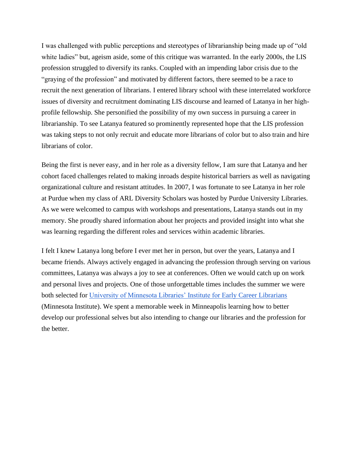I was challenged with public perceptions and stereotypes of librarianship being made up of "old white ladies" but, ageism aside, some of this critique was warranted. In the early 2000s, the LIS profession struggled to diversify its ranks. Coupled with an impending labor crisis due to the "graying of the profession" and motivated by different factors, there seemed to be a race to recruit the next generation of librarians. I entered library school with these interrelated workforce issues of diversity and recruitment dominating LIS discourse and learned of Latanya in her highprofile fellowship. She personified the possibility of my own success in pursuing a career in librarianship. To see Latanya featured so prominently represented hope that the LIS profession was taking steps to not only recruit and educate more librarians of color but to also train and hire librarians of color.

Being the first is never easy, and in her role as a diversity fellow, I am sure that Latanya and her cohort faced challenges related to making inroads despite historical barriers as well as navigating organizational culture and resistant attitudes. In 2007, I was fortunate to see Latanya in her role at Purdue when my class of ARL Diversity Scholars was hosted by Purdue University Libraries. As we were welcomed to campus with workshops and presentations, Latanya stands out in my memory. She proudly shared information about her projects and provided insight into what she was learning regarding the different roles and services within academic libraries.

I felt I knew Latanya long before I ever met her in person, but over the years, Latanya and I became friends. Always actively engaged in advancing the profession through serving on various committees, Latanya was always a joy to see at conferences. Often we would catch up on work and personal lives and projects. One of those unforgettable times includes the summer we were both selected for [University of Minnesota Libraries' Institute for Early Career Librarians](https://www.lib.umn.edu/about/institute) (Minnesota Institute). We spent a memorable week in Minneapolis learning how to better develop our professional selves but also intending to change our libraries and the profession for the better.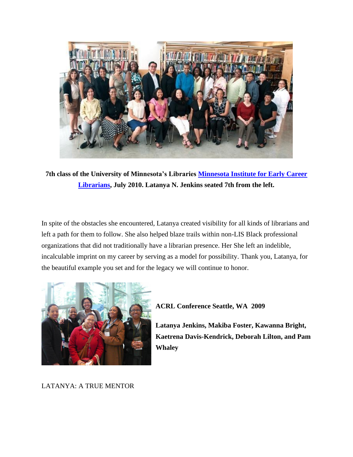

**7th class of the University of Minnesota's Libraries [Minnesota Institute for Early Career](http://www.lib.umn.edu/sed/institute/index.html)  [Librarians,](http://www.lib.umn.edu/sed/institute/index.html) July 2010. Latanya N. Jenkins seated 7th from the left.**

In spite of the obstacles she encountered, Latanya created visibility for all kinds of librarians and left a path for them to follow. She also helped blaze trails within non-LIS Black professional organizations that did not traditionally have a librarian presence. Her She left an indelible, incalculable imprint on my career by serving as a model for possibility. Thank you, Latanya, for the beautiful example you set and for the legacy we will continue to honor.



**ACRL Conference Seattle, WA 2009**

**Latanya Jenkins, Makiba Foster, Kawanna Bright, Kaetrena Davis-Kendrick, Deborah Lilton, and Pam Whaley**

# LATANYA: A TRUE MENTOR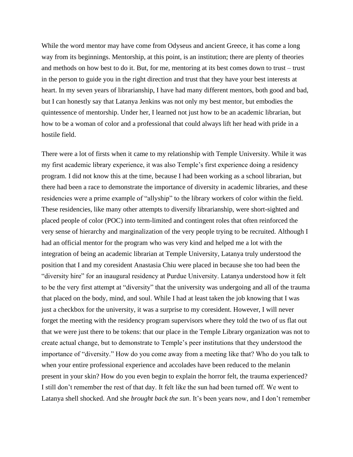While the word mentor may have come from Odyseus and ancient Greece, it has come a long way from its beginnings. Mentorship, at this point, is an institution; there are plenty of theories and methods on how best to do it. But, for me, mentoring at its best comes down to trust – trust in the person to guide you in the right direction and trust that they have your best interests at heart. In my seven years of librarianship, I have had many different mentors, both good and bad, but I can honestly say that Latanya Jenkins was not only my best mentor, but embodies the quintessence of mentorship. Under her, I learned not just how to be an academic librarian, but how to be a woman of color and a professional that could always lift her head with pride in a hostile field.

There were a lot of firsts when it came to my relationship with Temple University. While it was my first academic library experience, it was also Temple's first experience doing a residency program. I did not know this at the time, because I had been working as a school librarian, but there had been a race to demonstrate the importance of diversity in academic libraries, and these residencies were a prime example of "allyship" to the library workers of color within the field. These residencies, like many other attempts to diversify librarianship, were short-sighted and placed people of color (POC) into term-limited and contingent roles that often reinforced the very sense of hierarchy and marginalization of the very people trying to be recruited. Although I had an official mentor for the program who was very kind and helped me a lot with the integration of being an academic librarian at Temple University, Latanya truly understood the position that I and my coresident Anastasia Chiu were placed in because she too had been the "diversity hire" for an inaugural residency at Purdue University. Latanya understood how it felt to be the very first attempt at "diversity" that the university was undergoing and all of the trauma that placed on the body, mind, and soul. While I had at least taken the job knowing that I was just a checkbox for the university, it was a surprise to my coresident. However, I will never forget the meeting with the residency program supervisors where they told the two of us flat out that we were just there to be tokens: that our place in the Temple Library organization was not to create actual change, but to demonstrate to Temple's peer institutions that they understood the importance of "diversity." How do you come away from a meeting like that? Who do you talk to when your entire professional experience and accolades have been reduced to the melanin present in your skin? How do you even begin to explain the horror felt, the trauma experienced? I still don't remember the rest of that day. It felt like the sun had been turned off. We went to Latanya shell shocked. And she *brought back the sun*. It's been years now, and I don't remember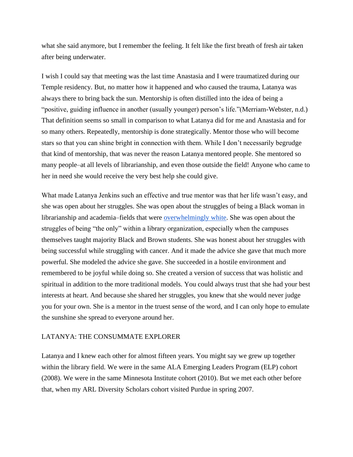what she said anymore, but I remember the feeling. It felt like the first breath of fresh air taken after being underwater.

I wish I could say that meeting was the last time Anastasia and I were traumatized during our Temple residency. But, no matter how it happened and who caused the trauma, Latanya was always there to bring back the sun. Mentorship is often distilled into the idea of being a "positive, guiding influence in another (usually younger) person's life."(Merriam-Webster, n.d.) That definition seems so small in comparison to what Latanya did for me and Anastasia and for so many others. Repeatedly, mentorship is done strategically. Mentor those who will become stars so that you can shine bright in connection with them. While I don't necessarily begrudge that kind of mentorship, that was never the reason Latanya mentored people. She mentored so many people–at all levels of librarianship, and even those outside the field! Anyone who came to her in need she would receive the very best help she could give.

What made Latanya Jenkins such an effective and true mentor was that her life wasn't easy, and she was open about her struggles. She was open about the struggles of being a Black woman in librarianship and academia–fields that were <u>overwhelmingly white</u>. She was open about the struggles of being "the only" within a library organization, especially when the campuses themselves taught majority Black and Brown students. She was honest about her struggles with being successful while struggling with cancer. And it made the advice she gave that much more powerful. She modeled the advice she gave. She succeeded in a hostile environment and remembered to be joyful while doing so. She created a version of success that was holistic and spiritual in addition to the more traditional models. You could always trust that she had your best interests at heart. And because she shared her struggles, you knew that she would never judge you for your own. She is a mentor in the truest sense of the word, and I can only hope to emulate the sunshine she spread to everyone around her.

#### LATANYA: THE CONSUMMATE EXPLORER

Latanya and I knew each other for almost fifteen years. You might say we grew up together within the library field. We were in the same ALA Emerging Leaders Program (ELP) cohort (2008). We were in the same Minnesota Institute cohort (2010). But we met each other before that, when my ARL Diversity Scholars cohort visited Purdue in spring 2007.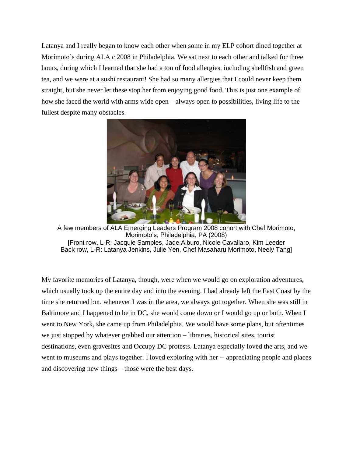Latanya and I really began to know each other when some in my ELP cohort dined together at Morimoto's during ALA c 2008 in Philadelphia. We sat next to each other and talked for three hours, during which I learned that she had a ton of food allergies, including shellfish and green tea, and we were at a sushi restaurant! She had so many allergies that I could never keep them straight, but she never let these stop her from enjoying good food. This is just one example of how she faced the world with arms wide open – always open to possibilities, living life to the fullest despite many obstacles.



A few members of ALA Emerging Leaders Program 2008 cohort with Chef Morimoto, Morimoto's, Philadelphia, PA (2008) [Front row, L-R: Jacquie Samples, Jade Alburo, Nicole Cavallaro, Kim Leeder Back row, L-R: Latanya Jenkins, Julie Yen, Chef Masaharu Morimoto, Neely Tang]

My favorite memories of Latanya, though, were when we would go on exploration adventures, which usually took up the entire day and into the evening. I had already left the East Coast by the time she returned but, whenever I was in the area, we always got together. When she was still in Baltimore and I happened to be in DC, she would come down or I would go up or both. When I went to New York, she came up from Philadelphia. We would have some plans, but oftentimes we just stopped by whatever grabbed our attention – libraries, historical sites, tourist destinations, even gravesites and Occupy DC protests. Latanya especially loved the arts, and we went to museums and plays together. I loved exploring with her -- appreciating people and places and discovering new things – those were the best days.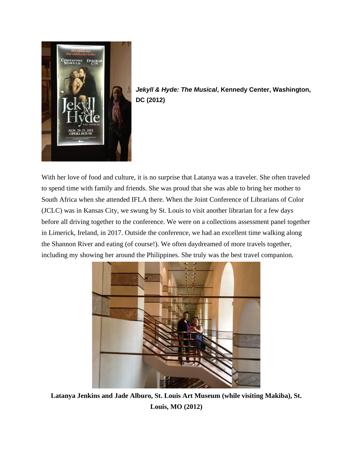

*Jekyll & Hyde: The Musical***, Kennedy Center, Washington, DC (2012)**

With her love of food and culture, it is no surprise that Latanya was a traveler. She often traveled to spend time with family and friends. She was proud that she was able to bring her mother to South Africa when she attended IFLA there. When the Joint Conference of Librarians of Color (JCLC) was in Kansas City, we swung by St. Louis to visit another librarian for a few days before all driving together to the conference. We were on a collections assessment panel together in Limerick, Ireland, in 2017. Outside the conference, we had an excellent time walking along the Shannon River and eating (of course!). We often daydreamed of more travels together, including my showing her around the Philippines. She truly was the best travel companion.



**Latanya Jenkins and Jade Alburo, St. Louis Art Museum (while visiting Makiba), St. Louis, MO (2012)**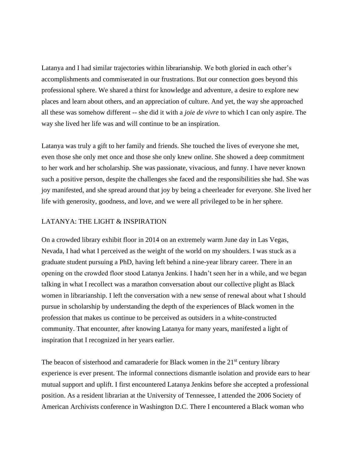Latanya and I had similar trajectories within librarianship. We both gloried in each other's accomplishments and commiserated in our frustrations. But our connection goes beyond this professional sphere. We shared a thirst for knowledge and adventure, a desire to explore new places and learn about others, and an appreciation of culture. And yet, the way she approached all these was somehow different -- she did it with a *joie de vivre* to which I can only aspire. The way she lived her life was and will continue to be an inspiration.

Latanya was truly a gift to her family and friends. She touched the lives of everyone she met, even those she only met once and those she only knew online. She showed a deep commitment to her work and her scholarship. She was passionate, vivacious, and funny. I have never known such a positive person, despite the challenges she faced and the responsibilities she had. She was joy manifested, and she spread around that joy by being a cheerleader for everyone. She lived her life with generosity, goodness, and love, and we were all privileged to be in her sphere.

### LATANYA: THE LIGHT & INSPIRATION

On a crowded library exhibit floor in 2014 on an extremely warm June day in Las Vegas, Nevada, I had what I perceived as the weight of the world on my shoulders. I was stuck as a graduate student pursuing a PhD, having left behind a nine-year library career. There in an opening on the crowded floor stood Latanya Jenkins. I hadn't seen her in a while, and we began talking in what I recollect was a marathon conversation about our collective plight as Black women in librarianship. I left the conversation with a new sense of renewal about what I should pursue in scholarship by understanding the depth of the experiences of Black women in the profession that makes us continue to be perceived as outsiders in a white-constructed community. That encounter, after knowing Latanya for many years, manifested a light of inspiration that I recognized in her years earlier.

The beacon of sisterhood and camaraderie for Black women in the  $21<sup>st</sup>$  century library experience is ever present. The informal connections dismantle isolation and provide ears to hear mutual support and uplift. I first encountered Latanya Jenkins before she accepted a professional position. As a resident librarian at the University of Tennessee, I attended the 2006 Society of American Archivists conference in Washington D.C. There I encountered a Black woman who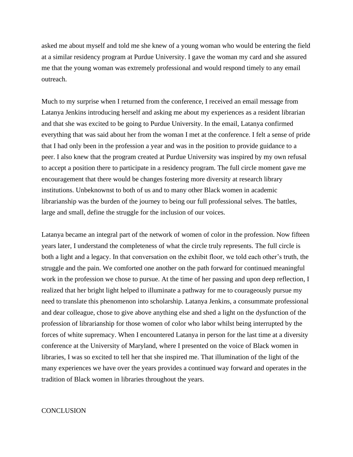asked me about myself and told me she knew of a young woman who would be entering the field at a similar residency program at Purdue University. I gave the woman my card and she assured me that the young woman was extremely professional and would respond timely to any email outreach.

Much to my surprise when I returned from the conference, I received an email message from Latanya Jenkins introducing herself and asking me about my experiences as a resident librarian and that she was excited to be going to Purdue University. In the email, Latanya confirmed everything that was said about her from the woman I met at the conference. I felt a sense of pride that I had only been in the profession a year and was in the position to provide guidance to a peer. I also knew that the program created at Purdue University was inspired by my own refusal to accept a position there to participate in a residency program. The full circle moment gave me encouragement that there would be changes fostering more diversity at research library institutions. Unbeknownst to both of us and to many other Black women in academic librarianship was the burden of the journey to being our full professional selves. The battles, large and small, define the struggle for the inclusion of our voices.

Latanya became an integral part of the network of women of color in the profession. Now fifteen years later, I understand the completeness of what the circle truly represents. The full circle is both a light and a legacy. In that conversation on the exhibit floor, we told each other's truth, the struggle and the pain. We comforted one another on the path forward for continued meaningful work in the profession we chose to pursue. At the time of her passing and upon deep reflection, I realized that her bright light helped to illuminate a pathway for me to courageously pursue my need to translate this phenomenon into scholarship. Latanya Jenkins, a consummate professional and dear colleague, chose to give above anything else and shed a light on the dysfunction of the profession of librarianship for those women of color who labor whilst being interrupted by the forces of white supremacy. When I encountered Latanya in person for the last time at a diversity conference at the University of Maryland, where I presented on the voice of Black women in libraries, I was so excited to tell her that she inspired me. That illumination of the light of the many experiences we have over the years provides a continued way forward and operates in the tradition of Black women in libraries throughout the years.

#### **CONCLUSION**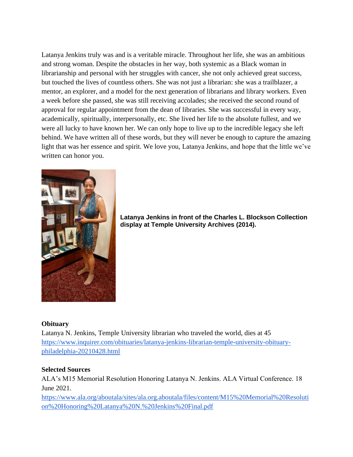Latanya Jenkins truly was and is a veritable miracle. Throughout her life, she was an ambitious and strong woman. Despite the obstacles in her way, both systemic as a Black woman in librarianship and personal with her struggles with cancer, she not only achieved great success, but touched the lives of countless others. She was not just a librarian: she was a trailblazer, a mentor, an explorer, and a model for the next generation of librarians and library workers. Even a week before she passed, she was still receiving accolades; she received the second round of approval for regular appointment from the dean of libraries. She was successful in every way, academically, spiritually, interpersonally, etc. She lived her life to the absolute fullest, and we were all lucky to have known her. We can only hope to live up to the incredible legacy she left behind. We have written all of these words, but they will never be enough to capture the amazing light that was her essence and spirit. We love you, Latanya Jenkins, and hope that the little we've written can honor you.



**Latanya Jenkins in front of the Charles L. Blockson Collection display at Temple University Archives (2014).**

### **Obituary**

Latanya N. Jenkins, Temple University librarian who traveled the world, dies at 45 [https://www.inquirer.com/obituaries/latanya-jenkins-librarian-temple-university-obituary](https://www.inquirer.com/obituaries/latanya-jenkins-librarian-temple-university-obituary-philadelphia-20210428.html)[philadelphia-20210428.html](https://www.inquirer.com/obituaries/latanya-jenkins-librarian-temple-university-obituary-philadelphia-20210428.html)

# **Selected Sources**

ALA's M15 Memorial Resolution Honoring Latanya N. Jenkins. ALA Virtual Conference. 18 June 2021.

[https://www.ala.org/aboutala/sites/ala.org.aboutala/files/content/M15%20Memorial%20Resoluti](https://www.ala.org/aboutala/sites/ala.org.aboutala/files/content/M15%20Memorial%20Resolution%20Honoring%20Latanya%20N.%20Jenkins%20Final.pdf) [on%20Honoring%20Latanya%20N.%20Jenkins%20Final.pdf](https://www.ala.org/aboutala/sites/ala.org.aboutala/files/content/M15%20Memorial%20Resolution%20Honoring%20Latanya%20N.%20Jenkins%20Final.pdf)